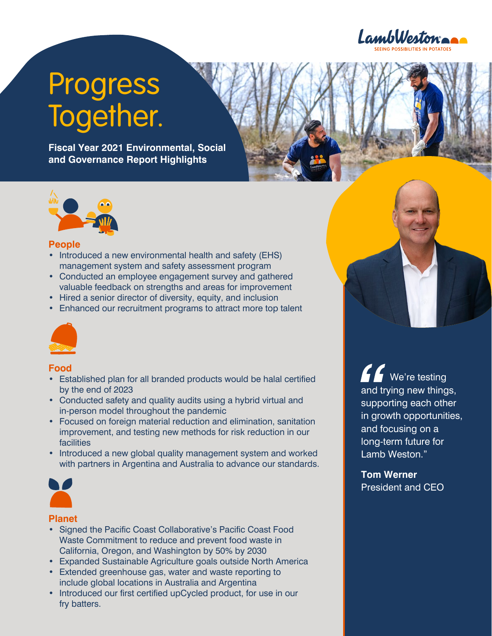

# Progress Together.

**Fiscal Year 2021 Environmental, Social and Governance Report Highlights**





#### **People**

- Introduced a new environmental health and safety (EHS) management system and safety assessment program
- Conducted an employee engagement survey and gathered valuable feedback on strengths and areas for improvement
- Hired a senior director of diversity, equity, and inclusion
- Enhanced our recruitment programs to attract more top talent



### **Food**

- Established plan for all branded products would be halal certified by the end of 2023
- Conducted safety and quality audits using a hybrid virtual and in-person model throughout the pandemic
- Focused on foreign material reduction and elimination, sanitation improvement, and testing new methods for risk reduction in our facilities
- Introduced a new global quality management system and worked with partners in Argentina and Australia to advance our standards.



### **Planet**

- Signed the Pacific Coast Collaborative's Pacific Coast Food Waste Commitment to reduce and prevent food waste in California, Oregon, and Washington by 50% by 2030
- Expanded Sustainable Agriculture goals outside North America
- Extended greenhouse gas, water and waste reporting to include global locations in Australia and Argentina
- Introduced our first certified upCycled product, for use in our fry batters.

 $\sqrt{\phantom{a}}$  We're testing and trying new things, supporting each other in growth opportunities, and focusing on a long-term future for Lamb Weston."

**Tom Werner** President and CEO